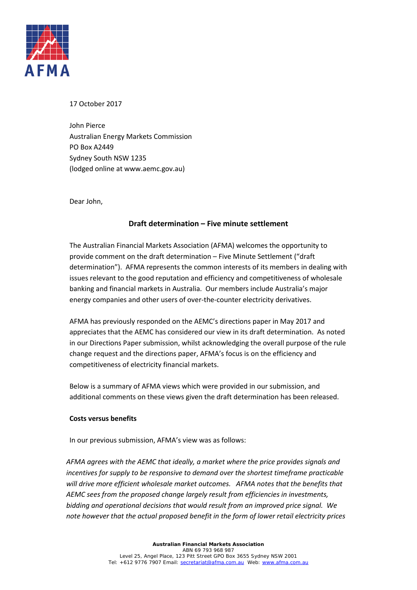

17 October 2017

John Pierce Australian Energy Markets Commission PO Box A2449 Sydney South NSW 1235 (lodged online at www.aemc.gov.au)

Dear John,

## **Draft determination – Five minute settlement**

The Australian Financial Markets Association (AFMA) welcomes the opportunity to provide comment on the draft determination – Five Minute Settlement ("draft determination"). AFMA represents the common interests of its members in dealing with issues relevant to the good reputation and efficiency and competitiveness of wholesale banking and financial markets in Australia. Our members include Australia's major energy companies and other users of over-the-counter electricity derivatives.

AFMA has previously responded on the AEMC's directions paper in May 2017 and appreciates that the AEMC has considered our view in its draft determination. As noted in our Directions Paper submission, whilst acknowledging the overall purpose of the rule change request and the directions paper, AFMA's focus is on the efficiency and competitiveness of electricity financial markets.

Below is a summary of AFMA views which were provided in our submission, and additional comments on these views given the draft determination has been released.

## **Costs versus benefits**

In our previous submission, AFMA's view was as follows:

*AFMA agrees with the AEMC that ideally, a market where the price provides signals and incentives for supply to be responsive to demand over the shortest timeframe practicable will drive more efficient wholesale market outcomes. AFMA notes that the benefits that AEMC sees from the proposed change largely result from efficiencies in investments, bidding and operational decisions that would result from an improved price signal. We note however that the actual proposed benefit in the form of lower retail electricity prices*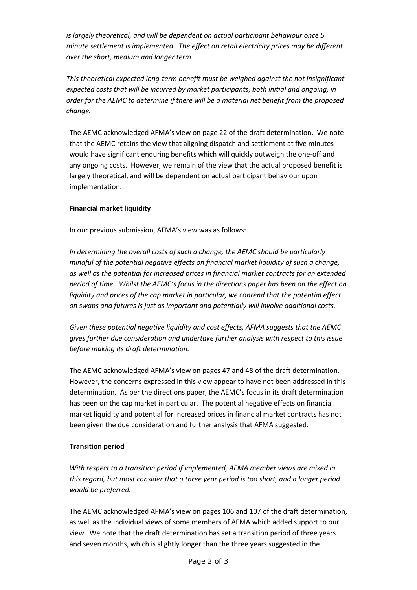*is largely theoretical, and will be dependent on actual participant behaviour once 5 minute settlement is implemented. The effect on retail electricity prices may be different over the short, medium and longer term.*

*This theoretical expected long-term benefit must be weighed against the not insignificant expected costs that will be incurred by market participants, both initial and ongoing, in order for the AEMC to determine if there will be a material net benefit from the proposed change.*

The AEMC acknowledged AFMA's view on page 22 of the draft determination. We note that the AEMC retains the view that aligning dispatch and settlement at five minutes would have significant enduring benefits which will quickly outweigh the one-off and any ongoing costs. However, we remain of the view that the actual proposed benefit is largely theoretical, and will be dependent on actual participant behaviour upon implementation.

## **Financial market liquidity**

In our previous submission, AFMA's view was as follows:

*In determining the overall costs of such a change, the AEMC should be particularly mindful of the potential negative effects on financial market liquidity of such a change, as well as the potential for increased prices in financial market contracts for an extended period of time. Whilst the AEMC's focus in the directions paper has been on the effect on liquidity and prices of the cap market in particular, we contend that the potential effect on swaps and futures is just as important and potentially will involve additional costs.*

*Given these potential negative liquidity and cost effects, AFMA suggests that the AEMC gives further due consideration and undertake further analysis with respect to this issue before making its draft determination.* 

The AEMC acknowledged AFMA's view on pages 47 and 48 of the draft determination. However, the concerns expressed in this view appear to have not been addressed in this determination. As per the directions paper, the AEMC's focus in its draft determination has been on the cap market in particular. The potential negative effects on financial market liquidity and potential for increased prices in financial market contracts has not been given the due consideration and further analysis that AFMA suggested.

## **Transition period**

*With respect to a transition period if implemented, AFMA member views are mixed in this regard, but most consider that a three year period is too short, and a longer period would be preferred.*

The AEMC acknowledged AFMA's view on pages 106 and 107 of the draft determination, as well as the individual views of some members of AFMA which added support to our view. We note that the draft determination has set a transition period of three years and seven months, which is slightly longer than the three years suggested in the